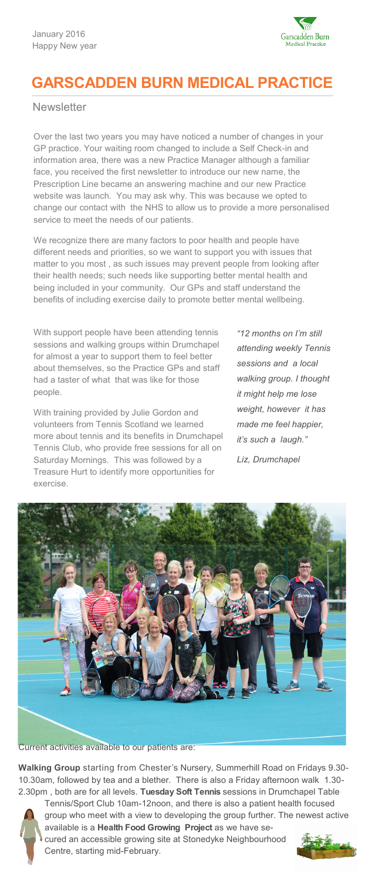

# **GARSCADDEN BURN MEDICAL PRACTICE**

**Newsletter** 

Over the last two years you may have noticed a number of changes in your GP practice. Your waiting room changed to include a Self Check-in and information area, there was a new Practice Manager although a familiar face, you received the first newsletter to introduce our new name, the Prescription Line became an answering machine and our new Practice website was launch. You may ask why. This was because we opted to change our contact with the NHS to allow us to provide a more personalised service to meet the needs of our patients.

We recognize there are many factors to poor health and people have different needs and priorities, so we want to support you with issues that matter to you most , as such issues may prevent people from looking after their health needs; such needs like supporting better mental health and being included in your community. Our GPs and staff understand the benefits of including exercise daily to promote better mental wellbeing.

With support people have been attending tennis sessions and walking groups within Drumchapel for almost a year to support them to feel better about themselves, so the Practice GPs and staff had a taster of what that was like for those people.

With training provided by Julie Gordon and volunteers from Tennis Scotland we learned more about tennis and its benefits in Drumchapel Tennis Club, who provide free sessions for all on Saturday Mornings. This was followed by a Treasure Hurt to identify more opportunities for exercise.

*"12 months on I'm still attending weekly Tennis sessions and a local walking group. I thought it might help me lose weight, however it has made me feel happier, it's such a laugh."*

*Liz, Drumchapel*



Current activities available to our patients are:

**Walking Group** starting from Chester's Nursery, Summerhill Road on Fridays 9.30- 10.30am, followed by tea and a blether. There is also a Friday afternoon walk 1.30- 2.30pm , both are for all levels. **Tuesday Soft Tennis** sessions in Drumchapel Table



Tennis/Sport Club 10am-12noon, and there is also a patient health focused group who meet with a view to developing the group further. The newest active available is a **Health Food Growing Project** as we have secured an accessible growing site at Stonedyke Neighbourhood Centre, starting mid-February.